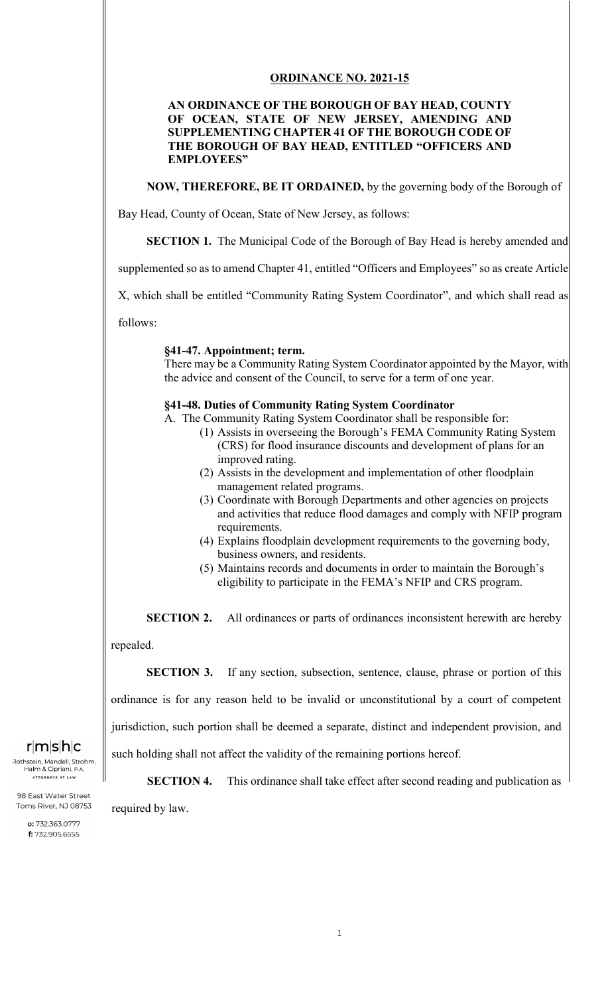## **ORDINANCE NO. 2021-15**

## **AN ORDINANCE OF THE BOROUGH OF BAY HEAD, COUNTY OF OCEAN, STATE OF NEW JERSEY, AMENDING AND SUPPLEMENTING CHAPTER 41 OF THE BOROUGH CODE OF THE BOROUGH OF BAY HEAD, ENTITLED "OFFICERS AND EMPLOYEES"**

**NOW, THEREFORE, BE IT ORDAINED,** by the governing body of the Borough of

Bay Head, County of Ocean, State of New Jersey, as follows:

**SECTION 1.** The Municipal Code of the Borough of Bay Head is hereby amended and

supplemented so as to amend Chapter 41, entitled "Officers and Employees" so as create Article

X, which shall be entitled "Community Rating System Coordinator", and which shall read as

follows:

#### **§41-47. Appointment; term.**

There may be a Community Rating System Coordinator appointed by the Mayor, with the advice and consent of the Council, to serve for a term of one year.

### **§41-48. Duties of Community Rating System Coordinator**

A. The Community Rating System Coordinator shall be responsible for:

- (1) Assists in overseeing the Borough's FEMA Community Rating System (CRS) for flood insurance discounts and development of plans for an improved rating.
- (2) Assists in the development and implementation of other floodplain management related programs.
- (3) Coordinate with Borough Departments and other agencies on projects and activities that reduce flood damages and comply with NFIP program requirements.
- (4) Explains floodplain development requirements to the governing body, business owners, and residents.
- (5) Maintains records and documents in order to maintain the Borough's eligibility to participate in the FEMA's NFIP and CRS program.

**SECTION 2.** All ordinances or parts of ordinances inconsistent herewith are hereby

repealed.

**SECTION 3.** If any section, subsection, sentence, clause, phrase or portion of this ordinance is for any reason held to be invalid or unconstitutional by a court of competent jurisdiction, such portion shall be deemed a separate, distinct and independent provision, and

such holding shall not affect the validity of the remaining portions hereof.

**SECTION 4.** This ordinance shall take effect after second reading and publication as

required by law.

# $r|m|s|h|c$

Rothstein, Mandell, Strohm, Halm & Cipriani, ATTORNEYS AT LAW

98 East Water Street Toms River, NJ 08753

> o: 732.363.0777 f: 732.905.6555

1